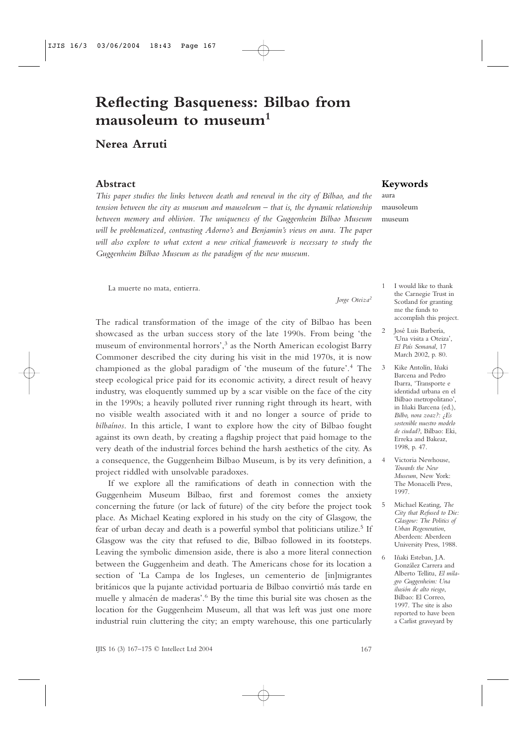## **Reflecting Basqueness: Bilbao from mausoleum to museum<sup>1</sup>**

## **Nerea Arruti**

#### **Abstract**

*This paper studies the links between death and renewal in the city of Bilbao, and the tension between the city as museum and mausoleum – that is, the dynamic relationship between memory and oblivion. The uniqueness of the Guggenheim Bilbao Museum will be problematized, contrasting Adorno's and Benjamin's views on aura. The paper will also explore to what extent a new critical framework is necessary to study the Guggenheim Bilbao Museum as the paradigm of the new museum.*

La muerte no mata, entierra.

*Jorge Oteiza<sup>2</sup>*

The radical transformation of the image of the city of Bilbao has been showcased as the urban success story of the late 1990s. From being 'the museum of environmental horrors',<sup>3</sup> as the North American ecologist Barry Commoner described the city during his visit in the mid 1970s, it is now championed as the global paradigm of 'the museum of the future'.<sup>4</sup> The steep ecological price paid for its economic activity, a direct result of heavy industry, was eloquently summed up by a scar visible on the face of the city in the 1990s; a heavily polluted river running right through its heart, with no visible wealth associated with it and no longer a source of pride to *bilbaínos*. In this article, I want to explore how the city of Bilbao fought against its own death, by creating a flagship project that paid homage to the very death of the industrial forces behind the harsh aesthetics of the city. As a consequence, the Guggenheim Bilbao Museum, is by its very definition, a project riddled with unsolvable paradoxes.

If we explore all the ramifications of death in connection with the Guggenheim Museum Bilbao, first and foremost comes the anxiety concerning the future (or lack of future) of the city before the project took place. As Michael Keating explored in his study on the city of Glasgow, the fear of urban decay and death is a powerful symbol that politicians utilize.<sup>5</sup> If Glasgow was the city that refused to die, Bilbao followed in its footsteps. Leaving the symbolic dimension aside, there is also a more literal connection between the Guggenheim and death. The Americans chose for its location a section of 'La Campa de los Ingleses, un cementerio de [in]migrantes británicos que la pujante actividad portuaria de Bilbao convirtió más tarde en muelle y almacén de maderas'.<sup>6</sup> By the time this burial site was chosen as the location for the Guggenheim Museum, all that was left was just one more industrial ruin cluttering the city; an empty warehouse, this one particularly

#### **Keywords**

aura mausoleum museum

- 1 I would like to thank the Carnegie Trust in Scotland for granting me the funds to accomplish this project.
- 2 José Luis Barbería, 'Una visita a Oteiza', *El País Semanal*, 17 March 2002, p. 80.
- 3 Kike Antolín, Iñaki Barcena and Pedro Ibarra, 'Transporte e identidad urbana en el Bilbao metropolitano', in Iñaki Barcena (ed.), *Bilbo, nora zoaz?: ¿Es sostenible nuestro modelo de ciudad?*, Bilbao: Eki, Erreka and Bakeaz, 1998, p. 47.
- 4 Victoria Newhouse, *Towards the New Museum*, New York: The Monacelli Press, 1997.
- 5 Michael Keating, *The City that Refused to Die: Glasgow: The Politics of Urban Regeneration*, Aberdeen: Aberdeen University Press, 1988.
- 6 Iñaki Esteban, J.A. González Carrera and Alberto Tellitu, *El milagro Guggenheim: Una ilusión de alto riesgo*, Bilbao: El Correo, 1997. The site is also reported to have been a Carlist graveyard by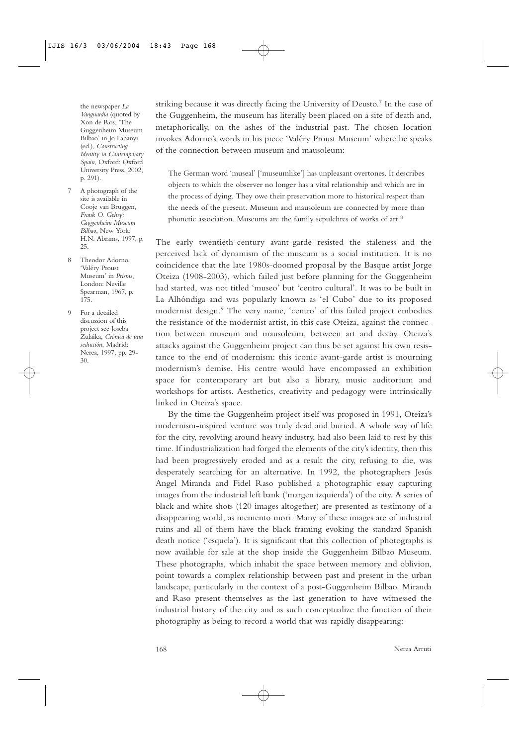the newspaper *La Vanguardia* (quoted by Xon de Ros, 'The Guggenheim Museum Bilbao' in Jo Labanyi (ed.), *Constructing Identity in Contemporary Spain*, Oxford: Oxford University Press, 2002, p. 291).

- 7 A photograph of the site is available in Cooje van Bruggen*, Frank O. Gehry: Guggenheim Museum Bilbao*, New York: H.N. Abrams, 1997, p.  $25.$
- Theodor Adorno, 'Valéry Proust Museum' in *Prisms*, London: Neville Spearman, 1967, p. 175.
- 9 For a detailed discussion of this project see Joseba Zulaika, *Crónica de una seducción*, Madrid: Nerea, 1997, pp. 29- 30.

striking because it was directly facing the University of Deusto.<sup>7</sup> In the case of the Guggenheim, the museum has literally been placed on a site of death and, metaphorically, on the ashes of the industrial past. The chosen location invokes Adorno's words in his piece 'Valéry Proust Museum' where he speaks of the connection between museum and mausoleum:

The German word 'museal' ['museumlike'] has unpleasant overtones. It describes objects to which the observer no longer has a vital relationship and which are in the process of dying. They owe their preservation more to historical respect than the needs of the present. Museum and mausoleum are connected by more than phonetic association. Museums are the family sepulchres of works of art.<sup>8</sup>

The early twentieth-century avant-garde resisted the staleness and the perceived lack of dynamism of the museum as a social institution. It is no coincidence that the late 1980s-doomed proposal by the Basque artist Jorge Oteiza (1908-2003), which failed just before planning for the Guggenheim had started, was not titled 'museo' but 'centro cultural'. It was to be built in La Alhóndiga and was popularly known as 'el Cubo' due to its proposed modernist design.<sup>9</sup> The very name, 'centro' of this failed project embodies the resistance of the modernist artist, in this case Oteiza, against the connection between museum and mausoleum, between art and decay. Oteiza's attacks against the Guggenheim project can thus be set against his own resistance to the end of modernism: this iconic avant-garde artist is mourning modernism's demise. His centre would have encompassed an exhibition space for contemporary art but also a library, music auditorium and workshops for artists. Aesthetics, creativity and pedagogy were intrinsically linked in Oteiza's space.

By the time the Guggenheim project itself was proposed in 1991, Oteiza's modernism-inspired venture was truly dead and buried. A whole way of life for the city, revolving around heavy industry, had also been laid to rest by this time. If industrialization had forged the elements of the city's identity, then this had been progressively eroded and as a result the city, refusing to die, was desperately searching for an alternative. In 1992, the photographers Jesús Angel Miranda and Fidel Raso published a photographic essay capturing images from the industrial left bank ('margen izquierda') of the city. A series of black and white shots (120 images altogether) are presented as testimony of a disappearing world, as memento mori. Many of these images are of industrial ruins and all of them have the black framing evoking the standard Spanish death notice ('esquela'). It is significant that this collection of photographs is now available for sale at the shop inside the Guggenheim Bilbao Museum. These photographs, which inhabit the space between memory and oblivion, point towards a complex relationship between past and present in the urban landscape, particularly in the context of a post-Guggenheim Bilbao. Miranda and Raso present themselves as the last generation to have witnessed the industrial history of the city and as such conceptualize the function of their photography as being to record a world that was rapidly disappearing: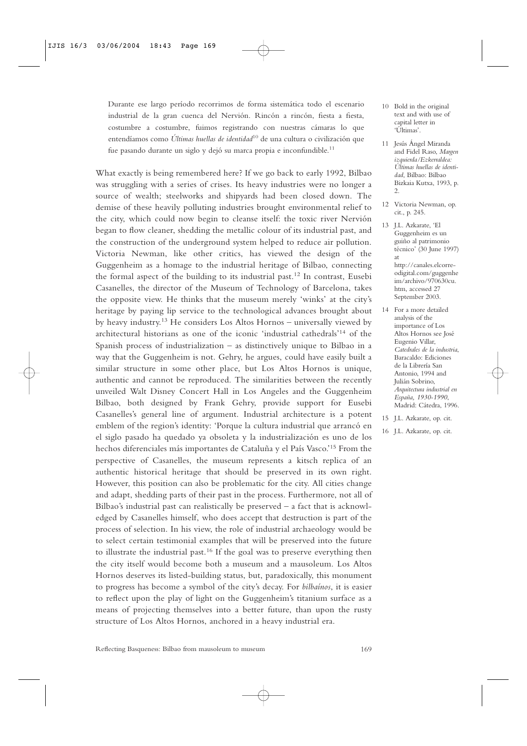Durante ese largo período recorrimos de forma sistemática todo el escenario industrial de la gran cuenca del Nervión. Rincón a rincón, fiesta a fiesta, costumbre a costumbre, fuimos registrando con nuestras cámaras lo que entendíamos como *Últimas huellas de identidad*<sup>10</sup> de una cultura o civilización que fue pasando durante un siglo y dejó su marca propia e inconfundible.<sup>11</sup>

What exactly is being remembered here? If we go back to early 1992, Bilbao was struggling with a series of crises. Its heavy industries were no longer a source of wealth; steelworks and shipyards had been closed down. The demise of these heavily polluting industries brought environmental relief to the city, which could now begin to cleanse itself: the toxic river Nervión began to flow cleaner, shedding the metallic colour of its industrial past, and the construction of the underground system helped to reduce air pollution. Victoria Newman, like other critics, has viewed the design of the Guggenheim as a homage to the industrial heritage of Bilbao, connecting the formal aspect of the building to its industrial past.<sup>12</sup> In contrast, Eusebi Casanelles, the director of the Museum of Technology of Barcelona, takes the opposite view. He thinks that the museum merely 'winks' at the city's heritage by paying lip service to the technological advances brought about by heavy industry.<sup>13</sup> He considers Los Altos Hornos – universally viewed by architectural historians as one of the iconic 'industrial cathedrals'<sup>14</sup> of the Spanish process of industrialization – as distinctively unique to Bilbao in a way that the Guggenheim is not. Gehry, he argues, could have easily built a similar structure in some other place, but Los Altos Hornos is unique, authentic and cannot be reproduced. The similarities between the recently unveiled Walt Disney Concert Hall in Los Angeles and the Guggenheim Bilbao, both designed by Frank Gehry, provide support for Eusebi Casanelles's general line of argument. Industrial architecture is a potent emblem of the region's identity: 'Porque la cultura industrial que arrancó en el siglo pasado ha quedado ya obsoleta y la industrialización es uno de los hechos diferenciales más importantes de Cataluña y el País Vasco.'<sup>15</sup> From the perspective of Casanelles, the museum represents a kitsch replica of an authentic historical heritage that should be preserved in its own right. However, this position can also be problematic for the city. All cities change and adapt, shedding parts of their past in the process. Furthermore, not all of Bilbao's industrial past can realistically be preserved – a fact that is acknowledged by Casanelles himself, who does accept that destruction is part of the process of selection. In his view, the role of industrial archaeology would be to select certain testimonial examples that will be preserved into the future to illustrate the industrial past.<sup>16</sup> If the goal was to preserve everything then the city itself would become both a museum and a mausoleum. Los Altos Hornos deserves its listed-building status, but, paradoxically, this monument to progress has become a symbol of the city's decay. For *bilbaínos*, it is easier to reflect upon the play of light on the Guggenheim's titanium surface as a means of projecting themselves into a better future, than upon the rusty structure of Los Altos Hornos, anchored in a heavy industrial era.

- 10 Bold in the original text and with use of capital letter in 'Últimas'.
- 11 Jesús Ángel Miranda and Fidel Raso, *Margen izquierda/Ezkerraldea: Últimas huellas de identidad*, Bilbao: Bilbao Bizkaia Kutxa, 1993, p.  $\mathcal{L}$
- 12 Victoria Newman, op. cit., p. 245.

13 J.L. Azkarate, 'El Guggenheim es un guiño al patrimonio técnico' (30 June 1997) at http://canales.elcorreodigital.com/guggenhe im/archivo/970630cu. htm, accessed 27 September 2003.

- 14 For a more detailed analysis of the importance of Los Altos Hornos see José Eugenio Villar, *Catedrales de la industria*, Baracaldo: Ediciones de la Librería San Antonio, 1994 and Julián Sobrino, *Arquitectura industrial en España, 1930-1990*, Madrid: Cátedra, 1996.
- 15 J.L. Azkarate, op. cit.
- 16 J.L. Azkarate, op. cit.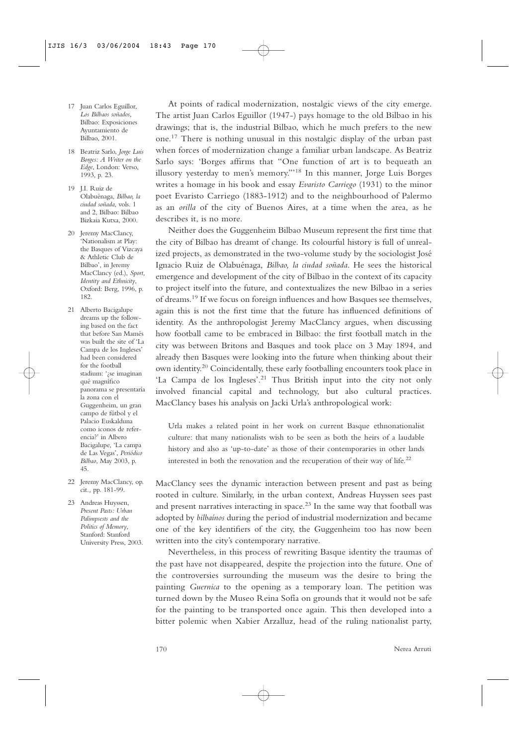- 17 Juan Carlos Eguillor, *Los Bilbaos soñados*, Bilbao: Exposiciones Ayuntamiento de Bilbao, 2001.
- 18 Beatriz Sarlo, *Jorge Luis Borges: A Writer on the Edge*, London: Verso, 1993, p. 23.
- 19 J.I. Ruiz de Olabuénaga, *Bilbao, la ciudad soñada*, vols. 1 and 2, Bilbao: Bilbao Bizkaia Kutxa, 2000.
- 20 Jeremy MacClancy, 'Nationalism at Play: the Basques of Vizcaya & Athletic Club de Bilbao', in Jeremy MacClancy (ed.), *Sport, Identity and Ethnicity*, Oxford: Berg, 1996, p. 182.
- 21 Alberto Bacigalupe dreams up the following based on the fact that before San Mamés was built the site of 'La Campa de los Ingleses' had been considered for the football stadium: '¿se imaginan qué magnífico panorama se presentaría la zona con el Guggenheim, un gran campo de fútbol y el Palacio Euskalduna como iconos de referencia?' in Albero Bacigalupe, 'La campa de Las Vegas', *Periódico Bilbao*, May 2003, p. 45.
- 22 Jeremy MacClancy, op. cit*.,* pp. 181-99.

23 Andreas Huyssen, *Present Pasts: Urban Palimpsests and the Politics of Memory*, Stanford: Stanford University Press, 2003.

At points of radical modernization, nostalgic views of the city emerge. The artist Juan Carlos Eguillor (1947-) pays homage to the old Bilbao in his drawings; that is, the industrial Bilbao, which he much prefers to the new one.<sup>17</sup> There is nothing unusual in this nostalgic display of the urban past when forces of modernization change a familiar urban landscape. As Beatriz Sarlo says: 'Borges affirms that "One function of art is to bequeath an illusory yesterday to men's memory."'<sup>18</sup> In this manner, Jorge Luis Borges writes a homage in his book and essay *Evaristo Carriego* (1931) to the minor poet Evaristo Carriego (1883-1912) and to the neighbourhood of Palermo as an *orilla* of the city of Buenos Aires, at a time when the area, as he describes it, is no more.

Neither does the Guggenheim Bilbao Museum represent the first time that the city of Bilbao has dreamt of change. Its colourful history is full of unrealized projects, as demonstrated in the two-volume study by the sociologist José Ignacio Ruiz de Olabuénaga, *Bilbao, la ciudad soñada*. He sees the historical emergence and development of the city of Bilbao in the context of its capacity to project itself into the future, and contextualizes the new Bilbao in a series of dreams.<sup>19</sup> If we focus on foreign influences and how Basques see themselves, again this is not the first time that the future has influenced definitions of identity. As the anthropologist Jeremy MacClancy argues, when discussing how football came to be embraced in Bilbao: the first football match in the city was between Britons and Basques and took place on 3 May 1894, and already then Basques were looking into the future when thinking about their own identity.<sup>20</sup> Coincidentally, these early footballing encounters took place in 'La Campa de los Ingleses'.<sup>21</sup> Thus British input into the city not only involved financial capital and technology, but also cultural practices. MacClancy bases his analysis on Jacki Urla's anthropological work:

Urla makes a related point in her work on current Basque ethnonationalist culture: that many nationalists wish to be seen as both the heirs of a laudable history and also as 'up-to-date' as those of their contemporaries in other lands interested in both the renovation and the recuperation of their way of life.<sup>22</sup>

MacClancy sees the dynamic interaction between present and past as being rooted in culture. Similarly, in the urban context, Andreas Huyssen sees past and present narratives interacting in space.<sup>23</sup> In the same way that football was adopted by *bilbaínos* during the period of industrial modernization and became one of the key identifiers of the city, the Guggenheim too has now been written into the city's contemporary narrative.

Nevertheless, in this process of rewriting Basque identity the traumas of the past have not disappeared, despite the projection into the future. One of the controversies surrounding the museum was the desire to bring the painting *Guernica* to the opening as a temporary loan. The petition was turned down by the Museo Reina Sofía on grounds that it would not be safe for the painting to be transported once again. This then developed into a bitter polemic when Xabier Arzalluz, head of the ruling nationalist party,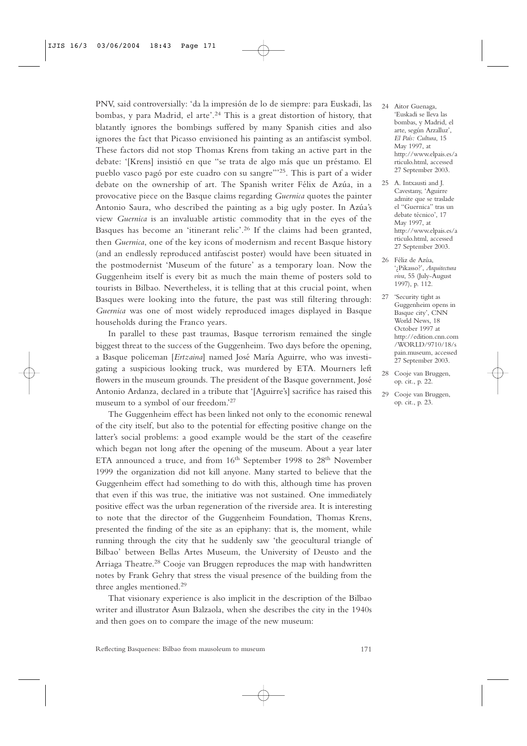PNV, said controversially: 'da la impresión de lo de siempre: para Euskadi, las bombas, y para Madrid, el arte'.<sup>24</sup> This is a great distortion of history, that blatantly ignores the bombings suffered by many Spanish cities and also ignores the fact that Picasso envisioned his painting as an antifascist symbol. These factors did not stop Thomas Krens from taking an active part in the debate: '[Krens] insistió en que "se trata de algo más que un préstamo. El pueblo vasco pagó por este cuadro con su sangre"'25. This is part of a wider debate on the ownership of art. The Spanish writer Félix de Azúa, in a provocative piece on the Basque claims regarding *Guernica* quotes the painter Antonio Saura, who described the painting as a big ugly poster. In Azúa's view *Guernica* is an invaluable artistic commodity that in the eyes of the Basques has become an 'itinerant relic'.<sup>26</sup> If the claims had been granted, then *Guernica*, one of the key icons of modernism and recent Basque history (and an endlessly reproduced antifascist poster) would have been situated in the postmodernist 'Museum of the future' as a temporary loan. Now the Guggenheim itself is every bit as much the main theme of posters sold to tourists in Bilbao. Nevertheless, it is telling that at this crucial point, when Basques were looking into the future, the past was still filtering through: *Guernica* was one of most widely reproduced images displayed in Basque households during the Franco years.

In parallel to these past traumas, Basque terrorism remained the single biggest threat to the success of the Guggenheim. Two days before the opening, a Basque policeman [*Ertzaina*] named José María Aguirre, who was investigating a suspicious looking truck, was murdered by ETA. Mourners left flowers in the museum grounds. The president of the Basque government, José Antonio Ardanza, declared in a tribute that '[Aguirre's] sacrifice has raised this museum to a symbol of our freedom.'<sup>27</sup>

The Guggenheim effect has been linked not only to the economic renewal of the city itself, but also to the potential for effecting positive change on the latter's social problems: a good example would be the start of the ceasefire which began not long after the opening of the museum. About a year later ETA announced a truce, and from 16<sup>th</sup> September 1998 to 28<sup>th</sup> November 1999 the organization did not kill anyone. Many started to believe that the Guggenheim effect had something to do with this, although time has proven that even if this was true, the initiative was not sustained. One immediately positive effect was the urban regeneration of the riverside area. It is interesting to note that the director of the Guggenheim Foundation, Thomas Krens, presented the finding of the site as an epiphany: that is, the moment, while running through the city that he suddenly saw 'the geocultural triangle of Bilbao' between Bellas Artes Museum, the University of Deusto and the Arriaga Theatre.<sup>28</sup> Cooje van Bruggen reproduces the map with handwritten notes by Frank Gehry that stress the visual presence of the building from the three angles mentioned.<sup>29</sup>

That visionary experience is also implicit in the description of the Bilbao writer and illustrator Asun Balzaola, when she describes the city in the 1940s and then goes on to compare the image of the new museum:

- 24 Aitor Guenaga, 'Euskadi se lleva las bombas, y Madrid, el arte, según Arzalluz', *El País: Cultura*, 15 May 1997, at http://www.elpais.es/a rticulo.html, accessed 27 September 2003.
- 25 A. Intxausti and J. Cavestany, 'Aguirre admite que se traslade el "Guernica" tras un debate técnico', 17 May 1997, at http://www.elpais.es/a rticulo.html, accessed 27 September 2003.
- 26 Féliz de Azúa, '¿Pikasso?', *Arquitectura viva*, 55 (July-August 1997), p. 112.
- 27 'Security tight as Guggenheim opens in Basque city', CNN World News, 18 October 1997 at http://edition.cnn.com /WORLD/9710/18/s pain.museum, accessed 27 September 2003.
- 28 Cooje van Bruggen, op. cit*.*, p. 22.
- 29 Cooje van Bruggen, op. cit*.*, p. 23.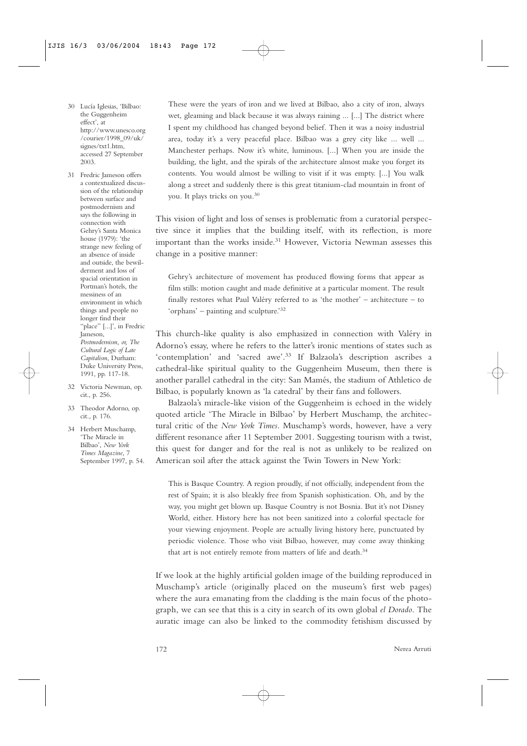- 30 Lucía Iglesias, 'Bilbao: the Guggenheim effect', at http://www.unesco.org /courier/1998\_09/uk/ signes/txt1.htm, accessed 27 September 2003.
- 31 Fredric Jameson offers a contextualized discussion of the relationship between surface and postmodernism and says the following in connection with Gehry's Santa Monica house (1979): 'the strange new feeling of an absence of inside and outside, the bewilderment and loss of spacial orientation in Portman's hotels, the messiness of an environment in which things and people no longer find their "place" [...]', in Fredric Jameson, *Postmodernism, or, The Cultural Logic of Late Capitalism*, Durham: Duke University Press, 1991, pp. 117-18.
- 32 Victoria Newman, op. cit., p. 256.
- 33 Theodor Adorno, op. cit*.*, p. 176.
- 34 Herbert Muschamp, 'The Miracle in Bilbao', *New York Times Magazine*, 7 September 1997, p. 54.

These were the years of iron and we lived at Bilbao, also a city of iron, always wet, gleaming and black because it was always raining ... [...] The district where I spent my childhood has changed beyond belief. Then it was a noisy industrial area, today it's a very peaceful place. Bilbao was a grey city like ... well ... Manchester perhaps. Now it's white, luminous. [...] When you are inside the building, the light, and the spirals of the architecture almost make you forget its contents. You would almost be willing to visit if it was empty. [...] You walk along a street and suddenly there is this great titanium-clad mountain in front of you. It plays tricks on you.<sup>30</sup>

This vision of light and loss of senses is problematic from a curatorial perspective since it implies that the building itself, with its reflection, is more important than the works inside.<sup>31</sup> However, Victoria Newman assesses this change in a positive manner:

Gehry's architecture of movement has produced flowing forms that appear as film stills: motion caught and made definitive at a particular moment. The result finally restores what Paul Valéry referred to as 'the mother' – architecture – to 'orphans' – painting and sculpture.'<sup>32</sup>

This church-like quality is also emphasized in connection with Valéry in Adorno's essay, where he refers to the latter's ironic mentions of states such as 'contemplation' and 'sacred awe'.<sup>33</sup> If Balzaola's description ascribes a cathedral-like spiritual quality to the Guggenheim Museum, then there is another parallel cathedral in the city: San Mamés, the stadium of Athletico de Bilbao, is popularly known as 'la catedral' by their fans and followers.

Balzaola's miracle-like vision of the Guggenheim is echoed in the widely quoted article 'The Miracle in Bilbao' by Herbert Muschamp, the architectural critic of the *New York Times*. Muschamp's words, however, have a very different resonance after 11 September 2001. Suggesting tourism with a twist, this quest for danger and for the real is not as unlikely to be realized on American soil after the attack against the Twin Towers in New York:

This is Basque Country. A region proudly, if not officially, independent from the rest of Spain; it is also bleakly free from Spanish sophistication. Oh, and by the way, you might get blown up. Basque Country is not Bosnia. But it's not Disney World, either. History here has not been sanitized into a colorful spectacle for your viewing enjoyment. People are actually living history here, punctuated by periodic violence. Those who visit Bilbao, however, may come away thinking that art is not entirely remote from matters of life and death.<sup>34</sup>

If we look at the highly artificial golden image of the building reproduced in Muschamp's article (originally placed on the museum's first web pages) where the aura emanating from the cladding is the main focus of the photograph, we can see that this is a city in search of its own global *el Dorado*. The auratic image can also be linked to the commodity fetishism discussed by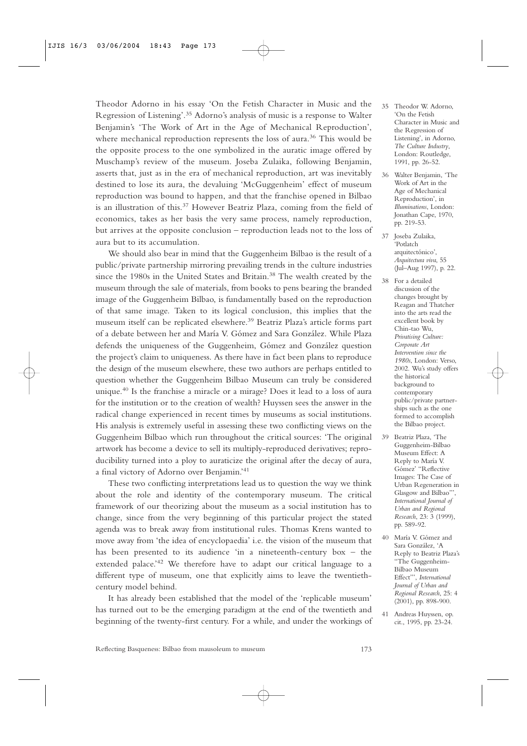Theodor Adorno in his essay 'On the Fetish Character in Music and the Regression of Listening'.<sup>35</sup> Adorno's analysis of music is a response to Walter Benjamin's 'The Work of Art in the Age of Mechanical Reproduction', where mechanical reproduction represents the loss of aura.<sup>36</sup> This would be the opposite process to the one symbolized in the auratic image offered by Muschamp's review of the museum. Joseba Zulaika, following Benjamin, asserts that, just as in the era of mechanical reproduction, art was inevitably destined to lose its aura, the devaluing 'McGuggenheim' effect of museum reproduction was bound to happen, and that the franchise opened in Bilbao is an illustration of this.<sup>37</sup> However Beatriz Plaza, coming from the field of economics, takes as her basis the very same process, namely reproduction, but arrives at the opposite conclusion – reproduction leads not to the loss of aura but to its accumulation.

We should also bear in mind that the Guggenheim Bilbao is the result of a public/private partnership mirroring prevailing trends in the culture industries since the 1980s in the United States and Britain.<sup>38</sup> The wealth created by the museum through the sale of materials, from books to pens bearing the branded image of the Guggenheim Bilbao, is fundamentally based on the reproduction of that same image. Taken to its logical conclusion, this implies that the museum itself can be replicated elsewhere.<sup>39</sup> Beatriz Plaza's article forms part of a debate between her and María V. Gómez and Sara González. While Plaza defends the uniqueness of the Guggenheim, Gómez and González question the project's claim to uniqueness. As there have in fact been plans to reproduce the design of the museum elsewhere, these two authors are perhaps entitled to question whether the Guggenheim Bilbao Museum can truly be considered unique.<sup>40</sup> Is the franchise a miracle or a mirage? Does it lead to a loss of aura for the institution or to the creation of wealth? Huyssen sees the answer in the radical change experienced in recent times by museums as social institutions. His analysis is extremely useful in assessing these two conflicting views on the Guggenheim Bilbao which run throughout the critical sources: 'The original artwork has become a device to sell its multiply-reproduced derivatives; reproducibility turned into a ploy to auraticize the original after the decay of aura, a final victory of Adorno over Benjamin.'<sup>41</sup>

These two conflicting interpretations lead us to question the way we think about the role and identity of the contemporary museum. The critical framework of our theorizing about the museum as a social institution has to change, since from the very beginning of this particular project the stated agenda was to break away from institutional rules. Thomas Krens wanted to move away from 'the idea of encyclopaedia' i.e. the vision of the museum that has been presented to its audience 'in a nineteenth-century box – the extended palace.<sup>'42</sup> We therefore have to adapt our critical language to a different type of museum, one that explicitly aims to leave the twentiethcentury model behind.

It has already been established that the model of the 'replicable museum' has turned out to be the emerging paradigm at the end of the twentieth and beginning of the twenty-first century. For a while, and under the workings of

- 35 Theodor W. Adorno, 'On the Fetish Character in Music and the Regression of Listening', in Adorno, *The Culture Industry*, London: Routledge, 1991, pp. 26-52.
- 36 Walter Benjamin, 'The Work of Art in the Age of Mechanical Reproduction', in *Illuminations*, London: Jonathan Cape, 1970, pp. 219-53.
- 37 Joseba Zulaika, 'Potlatch arquitectónico', *Arquitectura viva*, 55 (Jul–Aug 1997), p. 22.
- 38 For a detailed discussion of the changes brought by Reagan and Thatcher into the arts read the excellent book by Chin-tao Wu, *Privatising Culture: Corporate Art Intervention since the 1980s*, London: Verso, 2002. Wu's study offers the historical background to contemporary public/private partnerships such as the one formed to accomplish the Bilbao project.
- 39 Beatriz Plaza, 'The Guggenheim-Bilbao Museum Effect: A Reply to María V. Gómez' "Reflective Images: The Case of Urban Regeneration in Glasgow and Bilbao"', *International Journal of Urban and Regional Research*, 23: 3 (1999), pp. 589-92.
- 40 María V. Gómez and Sara González, 'A Reply to Beatriz Plaza's "The Guggenheim-Bilbao Museum Effect"', *International Journal of Urban and Regional Research*, 25: 4 (2001), pp. 898-900.
- 41 Andreas Huyssen, op. cit., 1995, pp. 23-24.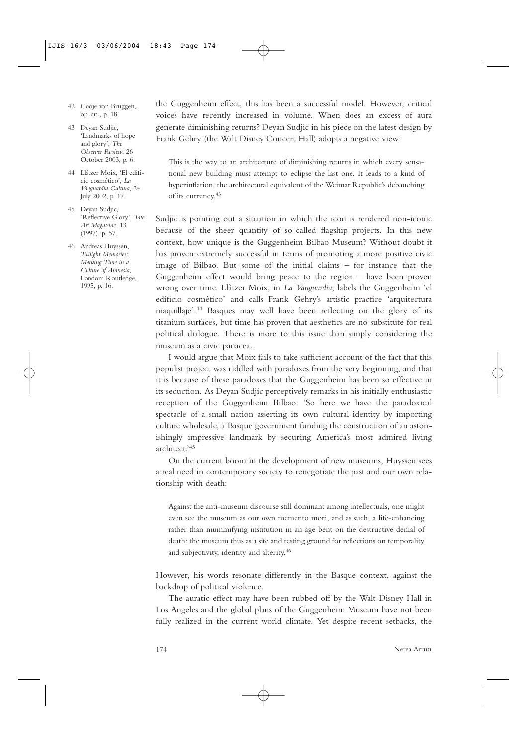- 42 Cooje van Bruggen, op. cit*.,* p. 18.
- 43 Deyan Sudjic, 'Landmarks of hope and glory', *The Observer Review*, 26 October 2003, p. 6.
- 44 Llàtzer Moix, 'El edificio cosmético', *La Vanguardia Cultura*, 24 July 2002, p. 17.
- 45 Deyan Sudjic, 'Reflective Glory', *Tate Art Magazine*, 13 (1997), p. 57.
- 46 Andreas Huyssen, *Twilight Memories: Marking Time in a Culture of Amnesia*, London: Routledge, 1995, p. 16.

the Guggenheim effect, this has been a successful model. However, critical voices have recently increased in volume. When does an excess of aura generate diminishing returns? Deyan Sudjic in his piece on the latest design by Frank Gehry (the Walt Disney Concert Hall) adopts a negative view:

This is the way to an architecture of diminishing returns in which every sensational new building must attempt to eclipse the last one. It leads to a kind of hyperinflation, the architectural equivalent of the Weimar Republic's debauching of its currency.<sup>43</sup>

Sudjic is pointing out a situation in which the icon is rendered non-iconic because of the sheer quantity of so-called flagship projects. In this new context, how unique is the Guggenheim Bilbao Museum? Without doubt it has proven extremely successful in terms of promoting a more positive civic image of Bilbao. But some of the initial claims – for instance that the Guggenheim effect would bring peace to the region – have been proven wrong over time. Llàtzer Moix, in *La Vanguardia*, labels the Guggenheim 'el edificio cosmético' and calls Frank Gehry's artistic practice 'arquitectura maquillaje'.<sup>44</sup> Basques may well have been reflecting on the glory of its titanium surfaces, but time has proven that aesthetics are no substitute for real political dialogue. There is more to this issue than simply considering the museum as a civic panacea.

I would argue that Moix fails to take sufficient account of the fact that this populist project was riddled with paradoxes from the very beginning, and that it is because of these paradoxes that the Guggenheim has been so effective in its seduction. As Deyan Sudjic perceptively remarks in his initially enthusiastic reception of the Guggenheim Bilbao: 'So here we have the paradoxical spectacle of a small nation asserting its own cultural identity by importing culture wholesale, a Basque government funding the construction of an astonishingly impressive landmark by securing America's most admired living architect.'<sup>45</sup>

On the current boom in the development of new museums, Huyssen sees a real need in contemporary society to renegotiate the past and our own relationship with death:

Against the anti-museum discourse still dominant among intellectuals, one might even see the museum as our own memento mori, and as such, a life-enhancing rather than mummifying institution in an age bent on the destructive denial of death: the museum thus as a site and testing ground for reflections on temporality and subjectivity, identity and alterity.<sup>46</sup>

However, his words resonate differently in the Basque context, against the backdrop of political violence.

The auratic effect may have been rubbed off by the Walt Disney Hall in Los Angeles and the global plans of the Guggenheim Museum have not been fully realized in the current world climate. Yet despite recent setbacks, the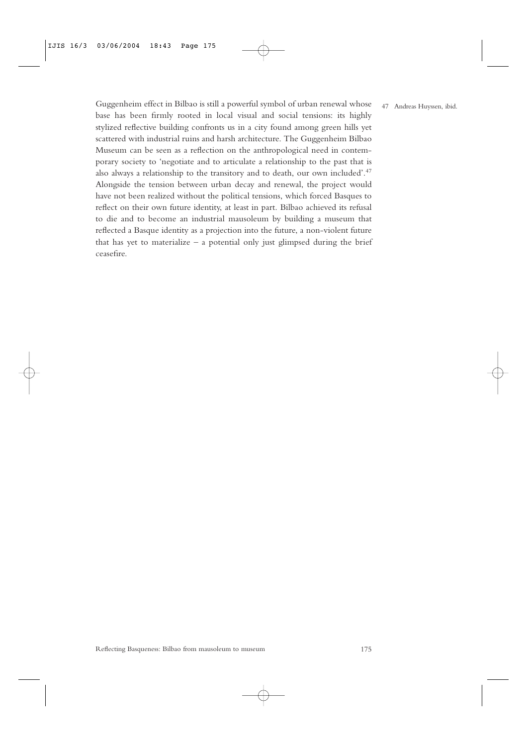Guggenheim effect in Bilbao is still a powerful symbol of urban renewal whose base has been firmly rooted in local visual and social tensions: its highly stylized reflective building confronts us in a city found among green hills yet scattered with industrial ruins and harsh architecture. The Guggenheim Bilbao Museum can be seen as a reflection on the anthropological need in contemporary society to 'negotiate and to articulate a relationship to the past that is also always a relationship to the transitory and to death, our own included'.<sup>47</sup> Alongside the tension between urban decay and renewal, the project would have not been realized without the political tensions, which forced Basques to reflect on their own future identity, at least in part. Bilbao achieved its refusal to die and to become an industrial mausoleum by building a museum that reflected a Basque identity as a projection into the future, a non-violent future that has yet to materialize  $-$  a potential only just glimpsed during the brief ceasefire.